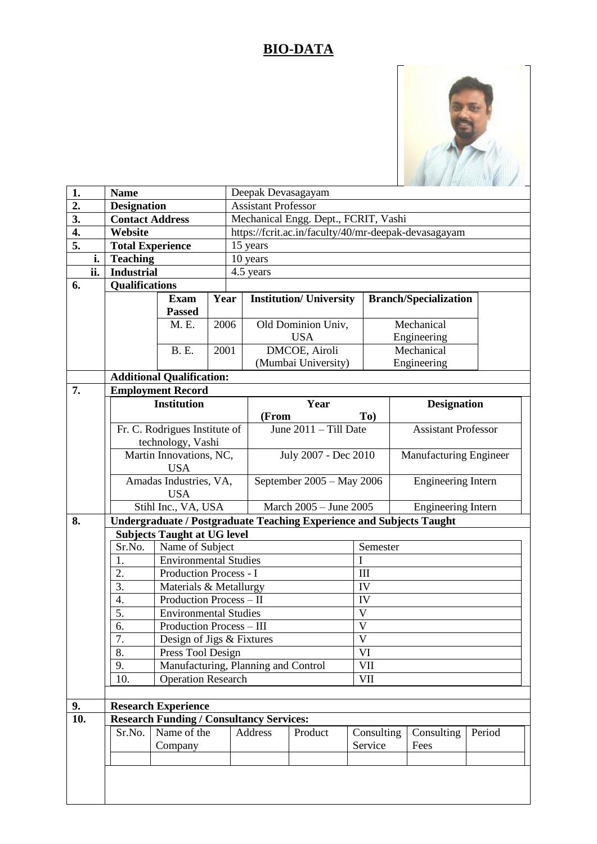## **BIO-DATA**



| 1.               |     | <b>Name</b>                                                                 |                                                                               |                                                                           | Deepak Devasagayam                                             |                        |              |                 |                            |  |  |  |
|------------------|-----|-----------------------------------------------------------------------------|-------------------------------------------------------------------------------|---------------------------------------------------------------------------|----------------------------------------------------------------|------------------------|--------------|-----------------|----------------------------|--|--|--|
| $\overline{2}$ . |     | <b>Designation</b>                                                          |                                                                               |                                                                           | <b>Assistant Professor</b>                                     |                        |              |                 |                            |  |  |  |
| 3.               |     | <b>Contact Address</b>                                                      |                                                                               |                                                                           | Mechanical Engg. Dept., FCRIT, Vashi                           |                        |              |                 |                            |  |  |  |
| 4.               |     | Website                                                                     |                                                                               |                                                                           | https://fcrit.ac.in/faculty/40/mr-deepak-devasagayam           |                        |              |                 |                            |  |  |  |
| $\overline{5}$ . |     |                                                                             | <b>Total Experience</b>                                                       |                                                                           | 15 years                                                       |                        |              |                 |                            |  |  |  |
|                  | i.  | <b>Teaching</b>                                                             |                                                                               | 10 years                                                                  |                                                                |                        |              |                 |                            |  |  |  |
|                  | ii. | <b>Industrial</b>                                                           |                                                                               |                                                                           | 4.5 years                                                      |                        |              |                 |                            |  |  |  |
| 6.               |     | <b>Qualifications</b>                                                       |                                                                               |                                                                           |                                                                |                        |              |                 |                            |  |  |  |
|                  |     |                                                                             | <b>Exam</b>                                                                   | Year                                                                      | <b>Institution/ University</b><br><b>Branch/Specialization</b> |                        |              |                 |                            |  |  |  |
|                  |     |                                                                             | <b>Passed</b>                                                                 |                                                                           |                                                                |                        |              |                 |                            |  |  |  |
|                  |     |                                                                             | M. E.                                                                         | 2006                                                                      | Old Dominion Univ,                                             |                        |              | Mechanical      |                            |  |  |  |
|                  |     |                                                                             |                                                                               |                                                                           | <b>USA</b>                                                     |                        |              | Engineering     |                            |  |  |  |
|                  |     |                                                                             | <b>B.</b> E.                                                                  | 2001                                                                      | <b>DMCOE</b> , Airoli                                          |                        |              | Mechanical      |                            |  |  |  |
|                  |     |                                                                             |                                                                               |                                                                           | (Mumbai University)                                            |                        |              | Engineering     |                            |  |  |  |
|                  |     | <b>Additional Qualification:</b>                                            |                                                                               |                                                                           |                                                                |                        |              |                 |                            |  |  |  |
| 7.               |     |                                                                             | <b>Employment Record</b>                                                      |                                                                           |                                                                |                        |              |                 |                            |  |  |  |
|                  |     | <b>Institution</b>                                                          |                                                                               |                                                                           | Year                                                           |                        |              |                 | <b>Designation</b>         |  |  |  |
|                  |     |                                                                             |                                                                               |                                                                           | (From<br>To)                                                   |                        |              |                 |                            |  |  |  |
|                  |     |                                                                             | Fr. C. Rodrigues Institute of                                                 |                                                                           | June $2011 -$ Till Date                                        |                        |              |                 | <b>Assistant Professor</b> |  |  |  |
|                  |     |                                                                             | technology, Vashi                                                             |                                                                           |                                                                |                        |              |                 |                            |  |  |  |
|                  |     |                                                                             | <b>USA</b>                                                                    | Martin Innovations, NC,<br>July 2007 - Dec 2010<br>Manufacturing Engineer |                                                                |                        |              |                 |                            |  |  |  |
|                  |     |                                                                             | Amadas Industries, VA,                                                        |                                                                           | September 2005 - May 2006                                      |                        |              |                 | <b>Engineering Intern</b>  |  |  |  |
|                  |     |                                                                             | <b>USA</b>                                                                    |                                                                           |                                                                |                        |              |                 |                            |  |  |  |
|                  |     |                                                                             | Stihl Inc., VA, USA                                                           |                                                                           |                                                                | March 2005 - June 2005 |              |                 | <b>Engineering Intern</b>  |  |  |  |
| 8.               |     | <b>Undergraduate / Postgraduate Teaching Experience and Subjects Taught</b> |                                                                               |                                                                           |                                                                |                        |              |                 |                            |  |  |  |
|                  |     | <b>Subjects Taught at UG level</b>                                          |                                                                               |                                                                           |                                                                |                        |              |                 |                            |  |  |  |
|                  |     | Sr.No.                                                                      | Name of Subject                                                               | Semester                                                                  |                                                                |                        |              |                 |                            |  |  |  |
|                  |     | 1.                                                                          | <b>Environmental Studies</b>                                                  | I                                                                         |                                                                |                        |              |                 |                            |  |  |  |
|                  |     | 2.<br>Production Process - I                                                |                                                                               |                                                                           | III                                                            |                        |              |                 |                            |  |  |  |
|                  |     | 3.<br>Materials & Metallurgy<br>4.<br><b>Production Process - II</b>        |                                                                               |                                                                           | IV<br>IV                                                       |                        |              |                 |                            |  |  |  |
|                  |     |                                                                             |                                                                               |                                                                           |                                                                |                        |              |                 |                            |  |  |  |
|                  |     | 5.                                                                          | <b>Environmental Studies</b>                                                  | $\mathbf V$                                                               |                                                                |                        |              |                 |                            |  |  |  |
|                  |     | 6.<br>Production Process - III                                              |                                                                               |                                                                           |                                                                |                        | $\mathbf{V}$ |                 |                            |  |  |  |
|                  |     | 7.                                                                          | Design of Jigs & Fixtures                                                     |                                                                           | V                                                              |                        |              |                 |                            |  |  |  |
|                  |     | 8.                                                                          | Press Tool Design                                                             | VI                                                                        |                                                                |                        |              |                 |                            |  |  |  |
|                  |     | 9.                                                                          |                                                                               |                                                                           | Manufacturing, Planning and Control<br><b>VII</b>              |                        |              |                 |                            |  |  |  |
|                  |     | 10.                                                                         | <b>Operation Research</b>                                                     |                                                                           |                                                                |                        |              | VII             |                            |  |  |  |
|                  |     |                                                                             |                                                                               |                                                                           |                                                                |                        |              |                 |                            |  |  |  |
| 9.<br>10.        |     |                                                                             | <b>Research Experience</b><br><b>Research Funding / Consultancy Services:</b> |                                                                           |                                                                |                        |              |                 |                            |  |  |  |
|                  |     | Sr.No.                                                                      | Name of the                                                                   | Address<br>Product<br>Consulting<br>Consulting                            |                                                                |                        |              |                 | Period                     |  |  |  |
|                  |     |                                                                             | Company                                                                       |                                                                           |                                                                |                        |              | Service<br>Fees |                            |  |  |  |
|                  |     |                                                                             |                                                                               |                                                                           |                                                                |                        |              |                 |                            |  |  |  |
|                  |     |                                                                             |                                                                               |                                                                           |                                                                |                        |              |                 |                            |  |  |  |
|                  |     |                                                                             |                                                                               |                                                                           |                                                                |                        |              |                 |                            |  |  |  |
|                  |     |                                                                             |                                                                               |                                                                           |                                                                |                        |              |                 |                            |  |  |  |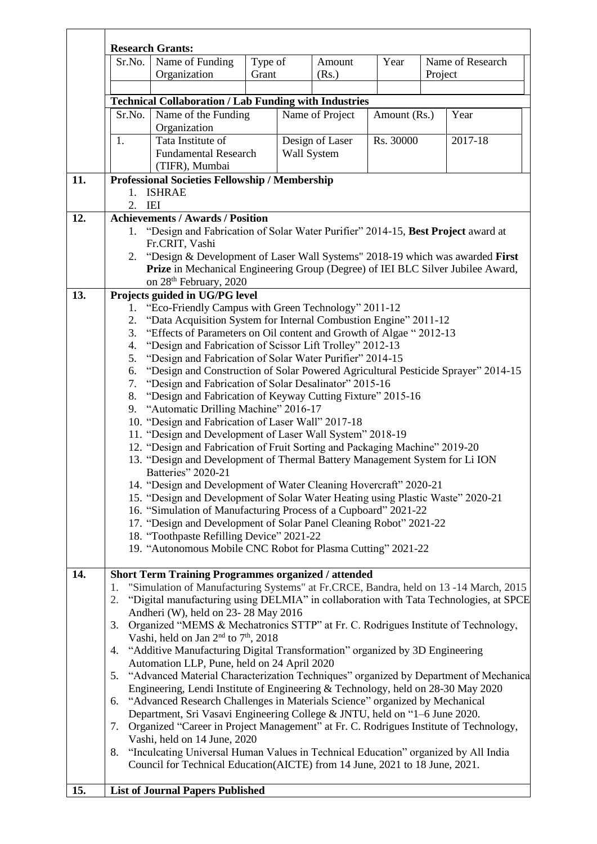|     |                                                                                                                                                                                                                                                                               | <b>Research Grants:</b>                                                                                                                                                                                                                                                                                                                                                                                                                                                                                                                                                                                                                                                                                                                                                                                                                                                                                                                                                                                                                                                                                                                                                                                                                                                                                                                                                 |                  |                                |                 |              |         |                  |  |  |  |  |
|-----|-------------------------------------------------------------------------------------------------------------------------------------------------------------------------------------------------------------------------------------------------------------------------------|-------------------------------------------------------------------------------------------------------------------------------------------------------------------------------------------------------------------------------------------------------------------------------------------------------------------------------------------------------------------------------------------------------------------------------------------------------------------------------------------------------------------------------------------------------------------------------------------------------------------------------------------------------------------------------------------------------------------------------------------------------------------------------------------------------------------------------------------------------------------------------------------------------------------------------------------------------------------------------------------------------------------------------------------------------------------------------------------------------------------------------------------------------------------------------------------------------------------------------------------------------------------------------------------------------------------------------------------------------------------------|------------------|--------------------------------|-----------------|--------------|---------|------------------|--|--|--|--|
|     | Sr.No.                                                                                                                                                                                                                                                                        | Name of Funding<br>Organization                                                                                                                                                                                                                                                                                                                                                                                                                                                                                                                                                                                                                                                                                                                                                                                                                                                                                                                                                                                                                                                                                                                                                                                                                                                                                                                                         | Type of<br>Grant |                                | Amount<br>(Rs.) | Year         | Project | Name of Research |  |  |  |  |
|     |                                                                                                                                                                                                                                                                               | <b>Technical Collaboration / Lab Funding with Industries</b>                                                                                                                                                                                                                                                                                                                                                                                                                                                                                                                                                                                                                                                                                                                                                                                                                                                                                                                                                                                                                                                                                                                                                                                                                                                                                                            |                  |                                |                 |              |         |                  |  |  |  |  |
|     | Sr.No.                                                                                                                                                                                                                                                                        | Name of the Funding<br>Organization                                                                                                                                                                                                                                                                                                                                                                                                                                                                                                                                                                                                                                                                                                                                                                                                                                                                                                                                                                                                                                                                                                                                                                                                                                                                                                                                     |                  |                                | Name of Project | Amount (Rs.) |         | Year             |  |  |  |  |
|     | 1.                                                                                                                                                                                                                                                                            | Tata Institute of<br><b>Fundamental Research</b><br>(TIFR), Mumbai                                                                                                                                                                                                                                                                                                                                                                                                                                                                                                                                                                                                                                                                                                                                                                                                                                                                                                                                                                                                                                                                                                                                                                                                                                                                                                      |                  | Design of Laser<br>Wall System |                 | Rs. 30000    |         | 2017-18          |  |  |  |  |
| 11. | 1.                                                                                                                                                                                                                                                                            | <b>Professional Societies Fellowship / Membership</b><br><b>ISHRAE</b>                                                                                                                                                                                                                                                                                                                                                                                                                                                                                                                                                                                                                                                                                                                                                                                                                                                                                                                                                                                                                                                                                                                                                                                                                                                                                                  |                  |                                |                 |              |         |                  |  |  |  |  |
| 12. | 2. IEI<br><b>Achievements / Awards / Position</b>                                                                                                                                                                                                                             |                                                                                                                                                                                                                                                                                                                                                                                                                                                                                                                                                                                                                                                                                                                                                                                                                                                                                                                                                                                                                                                                                                                                                                                                                                                                                                                                                                         |                  |                                |                 |              |         |                  |  |  |  |  |
|     | 1. "Design and Fabrication of Solar Water Purifier" 2014-15, Best Project award at<br>Fr.CRIT, Vashi<br>"Design & Development of Laser Wall Systems" 2018-19 which was awarded First<br>2.<br>Prize in Mechanical Engineering Group (Degree) of IEI BLC Silver Jubilee Award, |                                                                                                                                                                                                                                                                                                                                                                                                                                                                                                                                                                                                                                                                                                                                                                                                                                                                                                                                                                                                                                                                                                                                                                                                                                                                                                                                                                         |                  |                                |                 |              |         |                  |  |  |  |  |
| 13. | 1.<br>2.<br>3.<br>4.<br>5.<br>6.<br>7.<br>8.<br>9.                                                                                                                                                                                                                            | on 28 <sup>th</sup> February, 2020<br>Projects guided in UG/PG level<br>"Eco-Friendly Campus with Green Technology" 2011-12<br>"Data Acquisition System for Internal Combustion Engine" 2011-12<br>"Effects of Parameters on Oil content and Growth of Algae "2012-13"<br>"Design and Fabrication of Scissor Lift Trolley" 2012-13<br>"Design and Fabrication of Solar Water Purifier" 2014-15<br>"Design and Construction of Solar Powered Agricultural Pesticide Sprayer" 2014-15<br>"Design and Fabrication of Solar Desalinator" 2015-16<br>"Design and Fabrication of Keyway Cutting Fixture" 2015-16<br>"Automatic Drilling Machine" 2016-17<br>10. "Design and Fabrication of Laser Wall" 2017-18<br>11. "Design and Development of Laser Wall System" 2018-19<br>12. "Design and Fabrication of Fruit Sorting and Packaging Machine" 2019-20<br>13. "Design and Development of Thermal Battery Management System for Li ION<br>Batteries" 2020-21<br>14. "Design and Development of Water Cleaning Hovercraft" 2020-21<br>15. "Design and Development of Solar Water Heating using Plastic Waste" 2020-21<br>16. "Simulation of Manufacturing Process of a Cupboard" 2021-22<br>17. "Design and Development of Solar Panel Cleaning Robot" 2021-22<br>18. "Toothpaste Refilling Device" 2021-22<br>19. "Autonomous Mobile CNC Robot for Plasma Cutting" 2021-22 |                  |                                |                 |              |         |                  |  |  |  |  |
| 14. | 1.<br>2.<br>3.<br>4.<br>5.<br>6.<br>7.<br>8.                                                                                                                                                                                                                                  | Short Term Training Programmes organized / attended<br>"Simulation of Manufacturing Systems" at Fr.CRCE, Bandra, held on 13 -14 March, 2015<br>"Digital manufacturing using DELMIA" in collaboration with Tata Technologies, at SPCE<br>Andheri (W), held on 23-28 May 2016<br>Organized "MEMS & Mechatronics STTP" at Fr. C. Rodrigues Institute of Technology,<br>Vashi, held on Jan 2 <sup>nd</sup> to 7 <sup>th</sup> , 2018<br>"Additive Manufacturing Digital Transformation" organized by 3D Engineering<br>Automation LLP, Pune, held on 24 April 2020<br>"Advanced Material Characterization Techniques" organized by Department of Mechanica<br>Engineering, Lendi Institute of Engineering & Technology, held on 28-30 May 2020<br>"Advanced Research Challenges in Materials Science" organized by Mechanical<br>Department, Sri Vasavi Engineering College & JNTU, held on "1-6 June 2020.<br>Organized "Career in Project Management" at Fr. C. Rodrigues Institute of Technology,<br>Vashi, held on 14 June, 2020<br>"Inculcating Universal Human Values in Technical Education" organized by All India<br>Council for Technical Education(AICTE) from 14 June, 2021 to 18 June, 2021.                                                                                                                                                                   |                  |                                |                 |              |         |                  |  |  |  |  |
| 15. |                                                                                                                                                                                                                                                                               | <b>List of Journal Papers Published</b>                                                                                                                                                                                                                                                                                                                                                                                                                                                                                                                                                                                                                                                                                                                                                                                                                                                                                                                                                                                                                                                                                                                                                                                                                                                                                                                                 |                  |                                |                 |              |         |                  |  |  |  |  |

 $\overline{\phantom{0}}$ 

 $\mathbf{r}$ 

 $\overline{\mathsf{T}}$